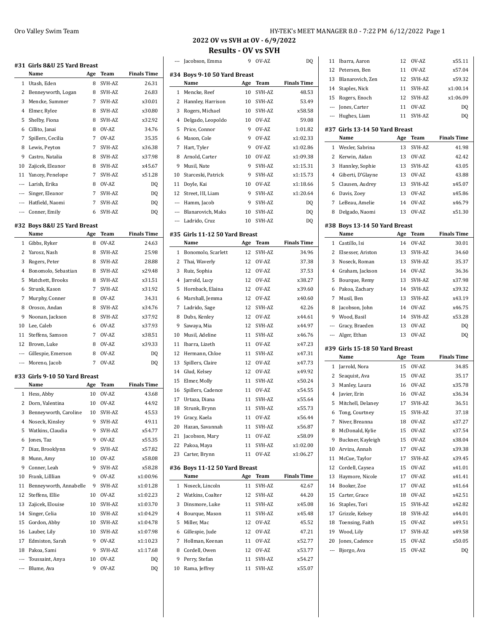|                          | #31 Girls 8&U 25 Yard Breast  |     |           |                    |
|--------------------------|-------------------------------|-----|-----------|--------------------|
|                          | Name                          | Age | Team      | <b>Finals Time</b> |
| 1                        | Utash, Eden                   | 8   | SVH-AZ    | 26.31              |
| 2                        | Benneyworth, Logan            | 8   | SVH-AZ    | 26.83              |
| 3                        | Mencke, Summer                | 7   | SVH-AZ    | x30.01             |
| 4                        | Elmer, Rylee                  | 8   | SVH-AZ    | x30.80             |
| 5                        | Shelby, Fiona                 | 8   | SVH-AZ    | x32.92             |
| 6                        | Cillito, Janai                | 8   | OV-AZ     | 34.76              |
| 7                        | Spillers, Cecilia             | 7   | OV-AZ     | 35.35              |
| 8                        | Lewis, Peyton                 | 7   | SVH-AZ    | x36.38             |
| 9                        | Castro, Natalia               | 8   | SVH-AZ    | x37.98             |
| 10                       | Zajicek, Eleanor              | 8   | SVH-AZ    | x45.67             |
| 11                       | Yancey, Penelope              | 7   | SVH-AZ    | x51.28             |
| $\overline{\phantom{a}}$ | Larish, Erika                 | 8   | OV-AZ     | DQ                 |
| ---                      | Singer, Eleanor               | 7   | SVH-AZ    | DQ                 |
| ---                      | Hatfield, Naomi               | 7   | SVH-AZ    | DQ                 |
| $\overline{a}$           | Conner, Emily                 | 6   | SVH-AZ    | DQ                 |
|                          | #32 Boys 8&U 25 Yard Breast   |     |           |                    |
|                          | Name                          | Age | Team      | <b>Finals Time</b> |
| $\mathbf{1}$             | Gibbs, Ryker                  | 8   | OV-AZ     | 24.63              |
| 2                        | Yarosz, Nash                  | 8   | SVH-AZ    | 25.98              |
| 3                        | Rogers, Peter                 | 8   | SVH-AZ    | 28.88              |
| 4                        | Bonomolo, Sebastian           | 8   | SVH-AZ    | x29.48             |
| 5                        | Matchett, Brooks              | 8   | SVH-AZ    | x31.51             |
| 6                        | Strunk, Kason                 | 7   | SVH-AZ    | x31.92             |
| 7                        | Murphy, Conner                | 8   | OV-AZ     | 34.31              |
| 8                        | Orosco, Andan                 | 8   | SVH-AZ    | x34.76             |
| 9                        | Noonan, Jackson               | 8   | SVH-AZ    | x37.92             |
| 10                       | Lee, Caleb                    | 6   | OV-AZ     | x37.93             |
| 11                       | Steffens, Samson              | 7   | OV-AZ     | x38.51             |
| 12                       | Brown, Luke                   | 8   | OV-AZ     | x39.33             |
| $---$                    | Gillespie, Emerson            | 8   | OV-AZ     | DQ                 |
| $\overline{a}$           | Moreno, Jacob                 | 7   | OV-AZ     | DQ                 |
|                          | #33 Girls 9-10 50 Yard Breast |     |           |                    |
|                          | Name                          | Age | Team      | <b>Finals Time</b> |
| $\mathbf{1}$             | Hess, Abby                    | 10  | OV-AZ     | 43.68              |
| 2                        | Dorn, Valentina               | 10  | OV-AZ     | 44.92              |
|                          | 3 Benneyworth, Caroline       |     | 10 SVH-AZ | 45.53              |
| 4                        | Noseck, Kinsley               | 9   | SVH-AZ    | 49.11              |
| 5                        | Watkins, Claudia              | 9   | SVH-AZ    | x54.77             |
| 6                        | Jones, Taz                    | 9   | OV-AZ     | x55.35             |
| 7                        | Diaz, Brooklynn               | 9   | SVH-AZ    | x57.82             |
| 8                        | Munn, Amy                     | 10  | OV-AZ     | x58.08             |
| 9                        | Conner, Leah                  | 9   | SVH-AZ    | x58.28             |
| 10                       | Frank, Lilllian               | 9   | OV-AZ     | x1:00.96           |
| 11                       | Benneyworth, Annabelle        | 9   | SVH-AZ    | x1:01.28           |
| 12                       | Steffens, Ellie               | 10  | OV-AZ     | x1:02.23           |
| 13                       | Zajicek, Elouise              | 10  | SVH-AZ    | x1:03.70           |
| 14                       | Singer, Celia                 | 10  | SVH-AZ    | x1:04.29           |
| 15                       | Gordon, Abby                  | 10  | SVH-AZ    | x1:04.78           |
| 16                       | Lauber, Lily                  | 10  | SVH-AZ    | x1:07.98           |
| 17                       | Edmiston, Sarah               | 9   | OV-AZ     | x1:10.23           |
| 18                       | Pakoa, Sami                   | 9   | SVH-AZ    | x1:17.68           |
| $\overline{\phantom{a}}$ | Toussaint, Anya               | 10  | OV-AZ     | DQ                 |
| $\cdots$                 | Blume, Ava                    | 9   | OV-AZ     | DQ                 |

| Oro Valley Swim Team | HY-TEK's MEET MANAGER 8.0 - 7:22 PM 6/12/2022 Page 1 |
|----------------------|------------------------------------------------------|
|----------------------|------------------------------------------------------|

**2022 OV vs SVH at OV - 6/9/2022**

## **Results - OV vs SVH**

| ---            | Jacobson, Emma                 | 9   | OV-AZ    | DQ                 |  |  |
|----------------|--------------------------------|-----|----------|--------------------|--|--|
|                | #34 Boys 9-10 50 Yard Breast   |     |          |                    |  |  |
|                | Name                           | Age | Team     | <b>Finals Time</b> |  |  |
| 1              | Mencke, Reef                   | 10  | SVH-AZ   | 48.53              |  |  |
| 2              | Hannley, Harrison              | 10  | SVH-AZ   | 53.49              |  |  |
| 3              | Rogers, Michael                | 10  | SVH-AZ   | x58.58             |  |  |
| $\overline{4}$ | Delgado, Leopoldo              | 10  | OV-AZ    | 59.08              |  |  |
| 5              | Price, Connor                  | 9   | OV-AZ    | 1:01.82            |  |  |
| 6              | Mason, Cole                    | 9   | OV-AZ    | x1:02.33           |  |  |
| 7              | Hart, Tyler                    | 9   | OV-AZ    | x1:02.86           |  |  |
| 8              | Arnold, Carter                 | 10  | OV-AZ    | x1:09.38           |  |  |
| 9              | Musil, Nate                    | 9   | SVH-AZ   | x1:15.31           |  |  |
| 10             | Starceski, Patrick             | 9   | SVH-AZ   | x1:15.73           |  |  |
| 11             | Doyle, Kai                     | 10  | OV-AZ    | x1:18.66           |  |  |
| 12             | Street, III, Liam              | 9   | SVH-AZ   | x1:20.64           |  |  |
|                | Hamm, Jacob                    | 9   | SVH-AZ   | DQ                 |  |  |
| ---            | Blanarovich, Maks              | 10  | SVH-AZ   | DQ                 |  |  |
| ---            | Ladrido, Cruz                  | 10  | SVH-AZ   | DQ                 |  |  |
|                |                                |     |          |                    |  |  |
|                | #35 Girls 11-12 50 Yard Breast |     |          |                    |  |  |
|                | Name                           | Age | Team     | <b>Finals Time</b> |  |  |
| 1              | Bonomolo, Scarlett             | 12  | SVH-AZ   | 34.96              |  |  |
| 2              | Thai, Waverly                  | 12  | OV-AZ    | 37.38              |  |  |
| 3              | Ruiz, Sophia                   | 12  | OV-AZ    | 37.53              |  |  |
| 4              | Jarrold, Lucy                  | 12  | OV-AZ    | x38.27             |  |  |
| 5              | Hornback, Elaina               | 12  | OV-AZ    | x39.60             |  |  |
| 6              | Marshall, Jemma                | 12  | OV-AZ    | x40.60             |  |  |
| 7              | Ladrido, Sage                  | 12  | SVH-AZ   | 42.26              |  |  |
| 8              | Dubs, Kenley                   | 12  | OV-AZ    | x44.61             |  |  |
| 9              | Sawaya, Mia                    | 12  | SVH-AZ   | x44.97             |  |  |
| 10             | Musil, Adeline                 | 11  | SVH-AZ   | x46.76             |  |  |
| 11             | Ibarra, Lizeth                 | 11  | OV-AZ    | x47.23             |  |  |
| 12             | Hermann, Chloe                 | 11  | SVH-AZ   | x47.31             |  |  |
| 13             | Spillers, Claire               | 12  | OV-AZ    | x47.73             |  |  |
| 14             | Glud, Kelsey                   | 12  | OV-AZ    | x49.92             |  |  |
| 15             | Elmer, Molly                   | 11  | SVH-AZ   | x50.24             |  |  |
| 16             | Spillers, Cadence              | 11  | OV-AZ    | x54.55             |  |  |
| 17             | Urtaza, Diana                  | 11  | SVH-AZ   | x55.64             |  |  |
| 18             | Strunk, Brynn                  | 11  | SVH-AZ   | x55.73             |  |  |
|                | 19 Gracy, Kaela                |     | 11 OV-AZ | x56.44             |  |  |
| 20             | Hazan, Savannah                | 11  | SVH-AZ   | x56.87             |  |  |
| 21             | Jacobson, Mary                 | 11  | OV-AZ    | x58.09             |  |  |
| 22             | Pakoa, Maya                    | 11  | SVH-AZ   | x1:02.00           |  |  |
| 23             | Carter, Brynn                  | 11  | OV-AZ    | x1:06.27           |  |  |
|                |                                |     |          |                    |  |  |
|                | #36 Boys 11-12 50 Yard Breast  |     |          |                    |  |  |
|                | Name                           | Age | Team     | <b>Finals Time</b> |  |  |
| 1              | Noseck, Lincoln                | 11  | SVH-AZ   | 42.67              |  |  |
|                | 2 Watkins, Coalter             | 12  | SVH-AZ   | 44.20              |  |  |
| 3              | Dinsmore, Luke                 | 11  | SVH-AZ   | x45.08             |  |  |
| 4              | Bourque, Mason                 | 11  | SVH-AZ   | x45.48             |  |  |
| 5              | Miller, Mac                    | 12  | OV-AZ    | 45.52              |  |  |
| 6              | Gillespie, Jude                | 12  | OV-AZ    | 47.21              |  |  |
| 7              | Hollman, Keenan                | 11  | OV-AZ    | x52.77             |  |  |
| 8              | Cordell, Owen                  | 12  | OV-AZ    | x53.77             |  |  |
| 9              | Perry, Stefan                  | 11  | SVH-AZ   | x54.27             |  |  |
| 10             | Rama, Jeffrey                  | 11  | SVH-AZ   | x55.07             |  |  |

| 12                       | Petersen, Ben                   | 11  | OV-AZ  | x57.04             |
|--------------------------|---------------------------------|-----|--------|--------------------|
| 13                       | Blanarovich, Zen                | 12  | SVH-AZ | x59.32             |
| 14                       | Staples, Nick                   | 11  | SVH-AZ | x1:00.14           |
| 15                       | Rogers, Enoch                   | 12  | SVH-AZ | x1:06.09           |
| $\cdots$                 | Jones, Carter                   | 11  | OV-AZ  | DQ                 |
| $\qquad \qquad -$        | Hughes, Liam                    | 11  | SVH-AZ | DQ                 |
|                          | #37 Girls 13-14 50 Yard Breast  |     |        |                    |
|                          | Name                            | Age | Team   | <b>Finals Time</b> |
| 1                        | Wexler, Sabrina                 | 13  | SVH-AZ | 41.98              |
| 2                        | Kerwin, Aidan                   | 13  | OV-AZ  | 42.42              |
| 3                        | Hannley, Sophie                 | 13  | SVH-AZ | 43.05              |
| 4                        | Giberti, D'Glayne               | 13  | OV-AZ  | 43.88              |
| 5                        | Clausen, Audrey                 | 13  | SVH-AZ | x45.07             |
| 6                        | Davis, Zoey                     | 13  | OV-AZ  | x45.86             |
| 7                        | LeBeau, Amelie                  | 14  | OV-AZ  | x46.79             |
| 8                        | Delgado, Naomi                  | 13  | OV-AZ  | x51.30             |
|                          | #38 Boys 13-14 50 Yard Breast   |     |        |                    |
|                          | Name                            | Age | Team   | <b>Finals Time</b> |
| 1                        | Castillo, Isi                   | 14  | OV-AZ  | 30.01              |
| 2                        | Elsesser, Ariston               | 13  | SVH-AZ | 34.60              |
| 3                        | Noseck, Roman                   | 13  | SVH-AZ | 35.37              |
| 4                        | Graham, Jackson                 | 14  | OV-AZ  | 36.36              |
| 5                        | Bourque, Remy                   | 13  | SVH-AZ | x37.98             |
| 6                        | Pakoa, Zachary                  | 14  | SVH-AZ | x39.32             |
| 7                        | Musil, Ben                      | 13  | SVH-AZ | x43.19             |
| 8                        | Jacobson, John                  | 14  | OV-AZ  | x46.75             |
| 9                        | Wood, Basil                     | 14  | SVH-AZ | x53.28             |
| $\overline{\phantom{a}}$ | Gracy, Braeden                  | 13  | OV-AZ  | DQ                 |
| ---                      | Alger, Ethan                    | 13  | OV-AZ  | DQ                 |
|                          | #39  Girls 15-18 50 Yard Breast |     |        |                    |
|                          | Name                            | Age | Team   | <b>Finals Time</b> |
| 1                        | Jarrold, Nora                   | 15  | OV-AZ  | 34.85              |
| 2                        | Seaquist, Ava                   | 15  | OV-AZ  | 35.17              |
| 3                        | Manley, Laura                   | 16  | OV-AZ  | x35.78             |
| 4                        | Javier, Erin                    | 16  | OV-AZ  | x36.34             |
| 5                        | Mitchell, Delaney               | 17  | SVH-AZ | 36.51              |
| 6                        | Tong, Courtney                  | 15  | SVH-AZ | 37.18              |
| 7                        | Niver, Breanna                  | 18  | OV-AZ  | x37.27             |
| 8                        | McDonald, Kylie                 | 15  | OV-AZ  | x37.54             |
| 9                        | Buckner, Kayleigh               | 15  | OV-AZ  | x38.04             |
| 10                       | Arvizu, Annah                   | 17  | OV-AZ  | x39.38             |
| 11                       | McCue, Taylor                   | 17  | SVH-AZ | x39.45             |
| 12                       | Cordell, Caysea                 | 15  | OV-AZ  | x41.01             |
| 13                       | Haymore, Nicole                 | 17  | OV-AZ  | x41.41             |
| 14                       | Booker, Zoe                     | 17  | OV-AZ  | x41.64             |
| 15                       | Carter, Grace                   | 18  | OV-AZ  | x42.51             |
| 16                       | Staples, Tori                   | 15  | SVH-AZ | x42.82             |
| 17                       | Grizzle, Kelsey                 | 18  | SVH-AZ | x44.01             |
| 18                       | Toensing, Faith                 | 15  | OV-AZ  | x49.51             |
| 19                       | Wood, Lily                      | 17  | SVH-AZ | x49.58             |
| 20                       | Jones, Cadence                  | 15  | OV-AZ  | x50.05             |
| ---                      | Bjorgo, Ava                     | 15  | OV-AZ  | DQ                 |
|                          |                                 |     |        |                    |

Ibarra, Aaron 12 OV-AZ x55.11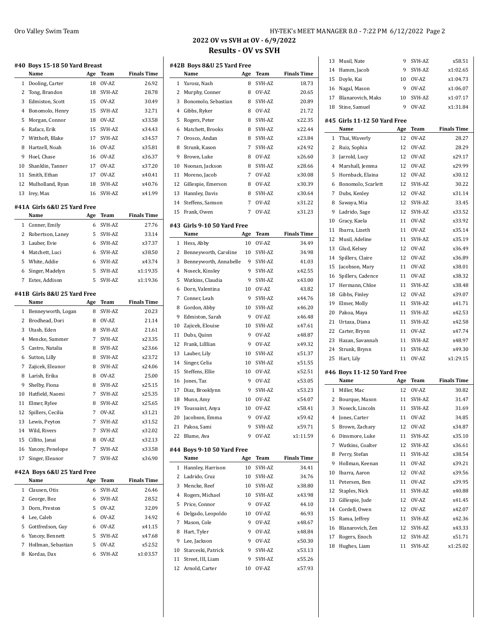| 2022 OV vs SVH at OV - 6/9/2022 |  |
|---------------------------------|--|
| <b>Results - OV vs SVH</b>      |  |
| 42B Bovs 8&U 25 Yard Free       |  |

|        | #40 Boys 15-18 50 Yard Breast<br>Name | Age | Team            | <b>Finals Time</b> |
|--------|---------------------------------------|-----|-----------------|--------------------|
| 1      | Dooling, Carter                       | 18  | OV-AZ           | 26.92              |
| 2      | Tong, Brandon                         | 18  | SVH-AZ          | 28.78              |
| 3      | Edmiston, Scott                       | 15  | OV-AZ           | 30.49              |
| 4      | Bonomolo, Henry                       | 15  | SVH-AZ          | 32.71              |
| 5      | Morgan, Connor                        | 18  | OV-AZ           | x33.58             |
| 6      | Rafacz, Erik                          | 15  | SVH-AZ          | x34.43             |
| 7      | Witthoft. Blake                       | 17  | SVH-AZ          | x34.57             |
| 8      | Hartzell, Noah                        | 16  | OV-AZ           | x35.81             |
| 9      | Hoel, Chase                           | 16  | OV-AZ           | x36.37             |
| 10     | Shanklin, Tanner                      | 17  | OV-AZ           | x37.20             |
| 11     | Smith, Ethan                          | 17  | OV-AZ           | x40.41             |
| 12     | Mulholland, Ryan                      | 18  | SVH-AZ          | x40.76             |
| 13     | Irey, Max                             | 16  | SVH-AZ          | x41.99             |
|        |                                       |     |                 |                    |
|        | #41A Girls 6&U 25 Yard Free           |     |                 |                    |
|        | Name                                  | Age | Team            | <b>Finals Time</b> |
| 1      | Conner, Emily                         | 6   | SVH-AZ          | 27.76              |
| 2      | Robertson, Laney                      | 5   | SVH-AZ          | 33.14              |
| 3      | Lauber, Evie                          | 6   | SVH-AZ          | x37.37             |
| 4      | Matchett, Luci                        | 6   | SVH-AZ          | x38.50             |
| 5      | White, Addie                          | 6   | SVH-AZ          | x43.74             |
| 6      | Singer, Madelyn                       | 5   | SVH-AZ          | x1:19.35           |
| 7      | Estes, Addison                        | 5   | SVH-AZ          | x1:19.36           |
|        | #41B  Girls 8&U 25 Yard Free          |     |                 |                    |
|        | Name                                  | Age | Team            | <b>Finals Time</b> |
| 1      | Benneyworth, Logan                    | 8   | SVH-AZ          | 20.23              |
| 2      | Brodhead, Dori                        | 8   | OV-AZ           | 21.14              |
|        |                                       |     |                 |                    |
| 3      | Utash, Eden                           | 8   | SVH-AZ          | 21.61              |
| 4      | Mencke, Summer                        | 7   | SVH-AZ          | x23.35             |
| 5      | Castro, Natalia                       | 8   | SVH-AZ          | x23.66             |
| 6      | Sutton, Lilly                         | 8   | SVH-AZ          | x23.72             |
| 7      | Zajicek, Eleanor                      | 8   | SVH-AZ          | x24.06             |
| 8      | Larish, Erika                         | 8   | OV-AZ           | 25.00              |
| 9      | Shelby, Fiona                         | 8   | SVH-AZ          | x25.15             |
| 10     | Hatfield, Naomi                       | 7   | SVH-AZ          | x25.35             |
| 11     | Elmer, Rylee                          | 8   | SVH-AZ          | x25.65             |
| 12     | Spillers, Cecilia                     | 7   | OV-AZ           | x31.21             |
| 13     | Lewis, Peyton                         | 7   | SVH-AZ          | x31.52             |
| 14     | Wild, Rivers                          | 7   | SVH-AZ          | x32.02             |
| 15     | Cillito, Janai                        | 8   | OV-AZ           | x32.13             |
| 16     | Yancey, Penelope                      | 7   | SVH-AZ          | x33.58             |
| 17     | Singer, Eleanor                       | 7   | SVH-AZ          | x36.90             |
|        |                                       |     |                 |                    |
|        | #42A Boys 6&U 25 Yard Free<br>Name    | Age | Team            | <b>Finals Time</b> |
| 1      | Clausen, Otis                         | 6   | SVH-AZ          | 26.46              |
| 2      | George, Boz                           | 6   | SVH-AZ          | 28.52              |
| 3      | Dorn, Preston                         | 5   | OV-AZ           | 32.09              |
| 4      | Lee, Caleb                            | 6   | OV-AZ           | 34.92              |
|        |                                       | 6   |                 |                    |
| 5      | Gottfredson, Guy                      | 5   | OV-AZ           | x41.15             |
| 6<br>7 | Yancey, Bennett<br>Hollman, Sebastian | 5   | SVH-AZ<br>OV-AZ | x47.68<br>x52.52   |

| #42B Boys 8&U 25 Yard Free |                                     |     |                  |                    |  |
|----------------------------|-------------------------------------|-----|------------------|--------------------|--|
|                            | Name                                | Age | <b>Team</b>      | <b>Finals Time</b> |  |
| $\mathbf{1}$               | Yarosz, Nash                        | 8   | SVH-AZ           | 18.73              |  |
| 2                          | Murphy, Conner                      | 8   | OV-AZ            | 20.65              |  |
| 3                          | Bonomolo, Sebastian                 | 8   | SVH-AZ           | 20.89              |  |
| 4                          | Gibbs, Ryker                        | 8   | OV-AZ            | 21.72              |  |
| 5                          | Rogers, Peter                       | 8   | SVH-AZ           | x22.35             |  |
| 6                          | Matchett, Brooks                    | 8   | SVH-AZ           | x22.44             |  |
| 7                          | Orosco, Andan                       | 8   | SVH-AZ           | x23.84             |  |
| 8                          | Strunk, Kason                       | 7   | SVH-AZ           | x24.92             |  |
| 9                          | Brown, Luke                         | 8   | OV-AZ            | x26.60             |  |
| 10                         | Noonan, Jackson                     | 8   | SVH-AZ           | x28.66             |  |
| 11                         | Moreno, Jacob                       | 7   | OV-AZ            | x30.08             |  |
| 12                         | Gillespie, Emerson                  | 8   | OV-AZ            | x30.39             |  |
| 13                         | Hannley, Davis                      | 8   | SVH-AZ           | x30.64             |  |
| 14                         | Steffens, Samson                    | 7   | OV-AZ            | x31.22             |  |
| 15                         | Frank, Owen                         | 7   | OV-AZ            | x31.23             |  |
|                            |                                     |     |                  |                    |  |
|                            | #43 Girls 9-10 50 Yard Free<br>Name | Age | Team             | <b>Finals Time</b> |  |
| 1                          | Hess, Abby                          | 10  | OV-AZ            | 34.49              |  |
| 2                          |                                     | 10  |                  |                    |  |
| 3                          | Benneyworth, Caroline               | 9   | SVH-AZ<br>SVH-AZ | 34.98<br>41.03     |  |
|                            | Benneyworth, Annabelle              | 9   | SVH-AZ           |                    |  |
| $\overline{4}$             | Noseck, Kinsley                     |     | SVH-AZ           | x42.55             |  |
| 5                          | Watkins, Claudia                    | 9   |                  | x43.00             |  |
| 6                          | Dorn, Valentina                     | 10  | OV-AZ            | 43.82              |  |
| 7                          | Conner, Leah                        | 9   | SVH-AZ           | x44.76             |  |
| 8                          | Gordon, Abby                        | 10  | SVH-AZ           | x46.20             |  |
| 9                          | Edmiston, Sarah                     | 9   | OV-AZ            | x46.48             |  |
| 10                         | Zajicek, Elouise                    | 10  | SVH-AZ           | x47.61             |  |
| 11                         | Dubs, Quinn                         | 9   | OV-AZ            | x48.87             |  |
| 12                         | Frank, Lilllian                     | 9   | OV-AZ            | x49.32             |  |
| 13                         | Lauber, Lily                        | 10  | SVH-AZ           | x51.37             |  |
| 14                         | Singer, Celia                       | 10  | SVH-AZ           | x51.55             |  |
| 15                         | Steffens, Ellie                     | 10  | OV-AZ            | x52.51             |  |
| 16                         | Jones, Taz                          | 9   | OV-AZ            | x53.05             |  |
| 17                         | Diaz, Brooklynn                     | 9   | SVH-AZ           | x53.23             |  |
| 18                         | Munn, Amy                           | 10  | OV-AZ            | x54.07             |  |
| 19                         | Toussaint, Anya                     | 10  | OV-AZ            | x58.41             |  |
| 20                         | Jacobson, Emma                      | 9   | OV-AZ            | x59.42             |  |
| 21                         | Pakoa, Sami                         | 9   | SVH-AZ           | x59.71             |  |
| 22                         | Blume, Ava                          | 9   | OV-AZ            | x1:11.59           |  |
|                            | #44 Boys 9-10 50 Yard Free          |     |                  |                    |  |
|                            | Name                                | Age | <b>Team</b>      | <b>Finals Time</b> |  |
| 1                          | Hannley, Harrison                   | 10  | SVH-AZ           | 34.41              |  |
| 2                          | Ladrido, Cruz                       | 10  | SVH-AZ           | 34.76              |  |
| 3                          | Mencke, Reef                        | 10  | SVH-AZ           | x38.80             |  |
| 4                          | Rogers, Michael                     | 10  | SVH-AZ           | x43.98             |  |
| 5                          | Price, Connor                       | 9   | OV-AZ            | 44.10              |  |
| 6                          | Delgado, Leopoldo                   | 10  | OV-AZ            | 46.93              |  |
| 7                          | Mason, Cole                         | 9   | OV-AZ            | x48.67             |  |
| 8                          | Hart, Tyler                         | 9   | OV-AZ            | x48.84             |  |
| 9                          | Lee, Jackson                        | 9   | OV-AZ            | x50.30             |  |
| 10                         | Starceski, Patrick                  | 9   | SVH-AZ           | x53.13             |  |
| 11                         | Street, III, Liam                   | 9   | SVH-AZ           | x55.26             |  |
| 12                         | Arnold, Carter                      | 10  | OV-AZ            | x57.93             |  |
|                            |                                     |     |                  |                    |  |

**#43 Girls 9-10 50 Yard Free**

**#44 Boys 9-10 50 Yard Free**

## 13 Musil, Nate 9 SVH-AZ x58.51 Hamm, Jacob 9 SVH-AZ x1:02.65 Doyle, Kai 10 OV-AZ x1:04.73 Nagal, Mason 9 OV-AZ x1:06.07 Blanarovich, Maks 10 SVH-AZ x1:07.17 Stine, Samuel 9 OV-AZ x1:31.84 **#45 Girls 11-12 50 Yard Free Name Age Team Finals Time** Thai, Waverly 12 OV-AZ 28.27 Ruiz, Sophia 12 OV-AZ 28.29 Jarrold, Lucy 12 OV-AZ x29.17 Marshall, Jemma 12 OV-AZ x29.99 5 Hornback, Elaina 12 OV-AZ x30.12 Bonomolo, Scarlett 12 SVH-AZ 30.22 Dubs, Kenley 12 OV-AZ x31.14 Sawaya, Mia 12 SVH-AZ 33.45 Ladrido, Sage 12 SVH-AZ x33.52 Gracy, Kaela 11 OV-AZ x33.92 Ibarra, Lizeth 11 OV-AZ x35.14 Musil, Adeline 11 SVH-AZ x35.19 Glud, Kelsey 12 OV-AZ x36.49 14 Spillers, Claire 12 OV-AZ x36.89 Jacobson, Mary 11 OV-AZ x38.01 16 Spillers, Cadence 11 OV-AZ x38.32 17 Hermann, Chloe 11 SVH-AZ x38.48 Gibbs, Finley 12 OV-AZ x39.07 Elmer, Molly 11 SVH-AZ x41.71 Pakoa, Maya 11 SVH-AZ x42.53 21 Urtaza, Diana 11 SVH-AZ x42.58 Carter, Brynn 11 OV-AZ x47.74

| 25           | Hart, Lily                  | 11  | $OV-AZ$ | x1:29.15           |
|--------------|-----------------------------|-----|---------|--------------------|
|              | #46 Boys 11-12 50 Yard Free |     |         |                    |
|              | Name                        | Age | Team    | <b>Finals Time</b> |
| $\mathbf{1}$ | Miller, Mac                 | 12  | $OV-AZ$ | 30.82              |
| 2            | Bourque, Mason              | 11  | SVH-AZ  | 31.47              |
| 3            | Noseck, Lincoln             | 11  | SVH-AZ  | 31.69              |
| 4            | Jones, Carter               | 11  | OV-AZ   | 34.85              |
| 5            | Brown, Zachary              | 12  | OV-AZ   | x34.87             |
| 6            | Dinsmore, Luke              | 11  | SVH-AZ  | x35.10             |
| 7            | Watkins, Coalter            | 12  | SVH-AZ  | x36.61             |
| 8            | Perry, Stefan               | 11  | SVH-AZ  | x38.54             |
| 9            | Hollman, Keenan             | 11  | OV-AZ   | x39.21             |
| 10           | Ibarra, Aaron               | 12  | $OV-AZ$ | x39.56             |
| 11           | Petersen, Ben               | 11  | OV-AZ   | x39.95             |
| 12           | Staples, Nick               | 11  | SVH-AZ  | x40.88             |
| 13           | Gillespie, Jude             | 12  | OV-AZ   | x41.45             |
| 14           | Cordell, Owen               | 12  | $OV-AZ$ | x42.07             |
| 15           | Rama, Jeffrey               | 11  | SVH-AZ  | x42.36             |
| 16           | Blanarovich, Zen            | 12  | SVH-AZ  | x43.33             |
| 17           | Rogers, Enoch               | 12  | SVH-AZ  | x51.71             |
| 18           | Hughes, Liam                | 11  | SVH-AZ  | x1:25.02           |

 Hazan, Savannah 11 SVH-AZ x48.97 Strunk, Brynn 11 SVH-AZ x49.30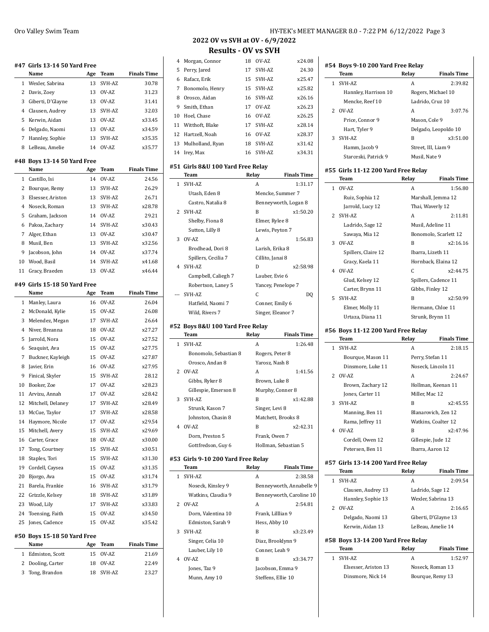|                | #47 Girls 13-14 50 Yard Free<br>Name | Age | Team          | <b>Finals Time</b> |
|----------------|--------------------------------------|-----|---------------|--------------------|
| 1              | Wexler, Sabrina                      | 13  | SVH-AZ        | 30.78              |
| 2              | Davis, Zoey                          | 13  | OV-AZ         | 31.23              |
| 3              | Giberti, D'Glayne                    | 13  | OV-AZ         | 31.41              |
| 4              | Clausen, Audrey                      | 13  | SVH-AZ        | 32.03              |
| 5              | Kerwin, Aidan                        | 13  | OV-AZ         | x33.45             |
| 6              | Delgado, Naomi                       |     | 13 OV-AZ      | x34.59             |
| 7              | Hannley, Sophie                      | 13  | SVH-AZ        | x35.35             |
| 8              | LeBeau, Amelie                       | 14  | OV-AZ         | x35.77             |
|                |                                      |     |               |                    |
|                | #48 Boys 13-14 50 Yard Free<br>Name  | Age | Team          | <b>Finals Time</b> |
| $\mathbf{1}$   | Castillo, Isi                        | 14  | OV-AZ         | 24.56              |
|                | 2 Bourque, Remy                      | 13  | SVH-AZ        | 26.29              |
| 3              | Elsesser, Ariston                    | 13  | SVH-AZ        | 26.71              |
| 4              | Noseck, Roman                        | 13  | SVH-AZ        | x28.78             |
| 5              | Graham, Jackson                      |     | 14 OV-AZ      | 29.21              |
| 6              | Pakoa, Zachary                       | 14  | SVH-AZ        | x30.43             |
| 7              | Alger, Ethan                         | 13  | OV-AZ         | x30.47             |
| 8              | Musil, Ben                           | 13  | SVH-AZ        | x32.56             |
| 9              | Jacobson, John                       | 14  | OV-AZ         | x37.74             |
| 10             | Wood, Basil                          | 14  | SVH-AZ        | x41.68             |
| 11             | Gracy, Braeden                       | 13  | OV-AZ         | x46.44             |
|                |                                      |     |               |                    |
|                | #49 Girls 15-18 50 Yard Free<br>Name | Age | Team          | <b>Finals Time</b> |
|                | 1 Manley, Laura                      | 16  | OV-AZ         | 26.04              |
|                | 2 McDonald, Kylie                    | 15  | OV-AZ         | 26.08              |
| 3              | Melendez, Megan                      | 17  | SVH-AZ        | 26.64              |
| $\overline{4}$ | Niver, Breanna                       | 18  | OV-AZ         | x27.27             |
| 5              | Jarrold, Nora                        | 15  | OV-AZ         | x27.52             |
| 6              | Seaquist, Ava                        | 15  | OV-AZ         | x27.75             |
| 7              | Buckner, Kayleigh                    | 15  | OV-AZ         | x27.87             |
| 8              | Javier, Erin                         | 16  | OV-AZ         | x27.95             |
| 9              | Finical, Skyler                      | 15  | SVH-AZ        | 28.12              |
|                | 10 Booker, Zoe                       |     | 17 OV-AZ      | x28.23             |
|                | 11 Arvizu, Annah                     | 17  | OV-AZ         | x28.42             |
| 12             | Mitchell, Delaney                    | 17  | SVH-AZ        | x28.49             |
|                | 13 McCue, Taylor                     |     | 17 SVH-AZ     | x28.58             |
| 14             | Haymore, Nicole                      | 17  | OV-AZ         | x29.54             |
| 15             | Mitchell, Avery                      | 15  | SVH-AZ        | x29.69             |
| 16             | Carter, Grace                        | 18  | OV-AZ         | x30.00             |
| 17             | Tong, Courtney                       | 15  | SVH-AZ        | x30.51             |
| 18             | Staples, Tori                        | 15  | SVH-AZ        | x31.30             |
| 19             | Cordell, Caysea                      | 15  | OV-AZ         | x31.35             |
| 20             | Bjorgo, Ava                          | 15  | OV-AZ         | x31.74             |
| 21             | Barela, Frankie                      | 16  | SVH-AZ        | x31.79             |
| 22             | Grizzle, Kelsey                      | 18  | SVH-AZ        | x31.89             |
| 23             | Wood, Lily                           | 17  | SVH-AZ        | x33.83             |
| 24             | Toensing, Faith                      | 15  | OV-AZ         | x34.50             |
| 25             | Jones, Cadence                       | 15  | OV-AZ         | x35.42             |
|                |                                      |     |               |                    |
|                | #50 Boys 15-18 50 Yard Free<br>Name  |     |               |                    |
| 1              |                                      | Age | Team<br>OV-AZ | <b>Finals Time</b> |
|                | Edmiston, Scott                      | 15  |               | 21.69              |
| 2              | Dooling, Carter                      | 18  | OV-AZ         | 22.49              |
| 3              | Tong, Brandon                        | 18  | SVH-AZ        | 23.27              |

## **2022 OV vs SVH at OV - 6/9/2022 Results - OV vs SVH**

|   | 4 Morgan, Connor    | 18 | OV-AZ   | x24.08 |
|---|---------------------|----|---------|--------|
|   | 5 Perry, Jared      | 17 | SVH-AZ  | 24.30  |
| 6 | Rafacz, Erik        | 15 | SVH-AZ  | x25.47 |
|   | 7 Bonomolo, Henry   | 15 | SVH-AZ  | x25.82 |
| 8 | Orosco, Aidan       | 16 | SVH-AZ  | x26.16 |
| 9 | Smith, Ethan        | 17 | $OV-AZ$ | x26.23 |
|   | 10 Hoel, Chase      | 16 | OV-AZ   | x26.25 |
|   | 11 Witthoft, Blake  | 17 | SVH-AZ  | x28.14 |
|   | 12 Hartzell, Noah   | 16 | OV-AZ   | x28.37 |
|   | 13 Mulholland, Ryan | 18 | SVH-AZ  | x31.42 |
|   | 14 Irev, Max        | 16 | SVH-AZ  | x34.31 |

#### **#51 Girls 8&U 100 Yard Free Relay**

|       | Team                | Relay            | <b>Finals Time</b>   |
|-------|---------------------|------------------|----------------------|
|       | 1 SVH-AZ            | A                | 1:31.17              |
|       | Utash, Eden 8       |                  | Mencke, Summer 7     |
|       | Castro, Natalia 8   |                  | Benneyworth, Logan 8 |
|       | 2 SVH-AZ            | B                | x1:50.20             |
|       | Shelby, Fiona 8     | Elmer, Rylee 8   |                      |
|       | Sutton, Lilly 8     | Lewis, Peyton 7  |                      |
| 3     | OV-AZ               | A                | 1:56.83              |
|       | Brodhead, Dori 8    | Larish, Erika 8  |                      |
|       | Spillers, Cecilia 7 | Cillito, Janai 8 |                      |
|       | 4 SVH-AZ            | D                | x2:58.98             |
|       | Campbell, Caliegh 7 | Lauber, Evie 6   |                      |
|       | Robertson, Laney 5  |                  | Yancey, Penelope 7   |
| $---$ | SVH-AZ              | C                | DO                   |
|       | Hatfield, Naomi 7   | Conner, Emily 6  |                      |
|       | Wild, Rivers 7      |                  | Singer, Eleanor 7    |

#### **#52 Boys 8&U 100 Yard Free Relay**

 $\overline{\phantom{a}}$ 

 $\overline{\phantom{a}}$ 

|    | Team                  | Relay                | <b>Finals Time</b> |
|----|-----------------------|----------------------|--------------------|
| 1. | SVH-AZ                | А                    | 1:26.48            |
|    | Bonomolo, Sebastian 8 | Rogers, Peter 8      |                    |
|    | Orosco, Andan 8       | Yarosz, Nash 8       |                    |
|    | 2 OV-AZ               | A                    | 1:41.56            |
|    | Gibbs, Ryker 8        | Brown, Luke 8        |                    |
|    | Gillespie, Emerson 8  | Murphy, Conner 8     |                    |
|    | 3 SVH-AZ              | B                    | x1:42.88           |
|    | Strunk, Kason 7       | Singer, Levi 8       |                    |
|    | Johnston, Chasin 8    | Matchett, Brooks 8   |                    |
| 4  | $OV-AZ$               | B                    | x2.42.31           |
|    | Dorn, Preston 5       | Frank, Owen 7        |                    |
|    | Gottfredson, Guy 6    | Hollman, Sebastian 5 |                    |
|    |                       |                      |                    |

#### **#53 Girls 9-10 200 Yard Free Relay**

|              | Team               | Relay             | <b>Finals Time</b>       |
|--------------|--------------------|-------------------|--------------------------|
| $\mathbf{1}$ | SVH-AZ             | А                 | 2:38.58                  |
|              | Noseck, Kinsley 9  |                   | Benneyworth, Annabelle 9 |
|              | Watkins, Claudia 9 |                   | Benneyworth, Caroline 10 |
|              | 2 OV-AZ            | A                 | 2:54.81                  |
|              | Dorn, Valentina 10 | Frank, Lilllian 9 |                          |
|              | Edmiston, Sarah 9  | Hess, Abby 10     |                          |
| 3.           | SVH-AZ             | B                 | x3:23.49                 |
|              | Singer, Celia 10   |                   | Diaz, Brooklynn 9        |
|              | Lauber, Lily 10    | Conner, Leah 9    |                          |
| 4            | $OV-AZ$            | B                 | x3:34.77                 |
|              | Jones, Taz 9       |                   | Jacobson, Emma 9         |
|              | Munn, Amy 10       |                   | Steffens, Ellie 10       |

|                | #54 Boys 9-10 200 Yard Free Relay   |               |                      |  |  |
|----------------|-------------------------------------|---------------|----------------------|--|--|
|                | <b>Team</b>                         | Relay         | <b>Finals Time</b>   |  |  |
|                | 1 SVH-AZ                            | A             | 2:39.82              |  |  |
|                | Hannley, Harrison 10                |               | Rogers, Michael 10   |  |  |
|                | Mencke, Reef 10                     |               | Ladrido, Cruz 10     |  |  |
|                | 2 OV-AZ                             | A             | 3:07.76              |  |  |
|                | Price, Connor 9                     | Mason, Cole 9 |                      |  |  |
|                | Hart, Tyler 9                       |               | Delgado, Leopoldo 10 |  |  |
|                | 3 SVH-AZ                            | R             | x3:51.00             |  |  |
|                | Hamm, Jacob 9                       |               | Street, III, Liam 9  |  |  |
|                | Starceski, Patrick 9                | Musil, Nate 9 |                      |  |  |
|                | #55 Girls 11-12 200 Yard Free Relay |               |                      |  |  |
|                | <b>Team</b>                         | Relay         | <b>Finals Time</b>   |  |  |
| 1              | $OV-AZ$                             | A             | 1:56.80              |  |  |
|                | Ruiz, Sophia 12                     |               | Marshall, Jemma 12   |  |  |
|                | Jarrold, Lucy 12                    |               | Thai, Waverly 12     |  |  |
| $\overline{2}$ | SVH-AZ                              | A             | 2:11.81              |  |  |

## Gracy, Kaela 11 Hornback, Elaina 12 4 OV-AZ C x2:44.75 Glud, Kelsey 12 Spillers, Cadence 11 Carter, Brynn 11 Gibbs, Finley 12 5 SVH-AZ B x2:50.99 Elmer, Molly 11 Hermann, Chloe 11 Urtaza, Diana 11 Strunk, Brynn 11

Ladrido, Sage 12 Musil, Adeline 11 Sawaya, Mia 12 Bonomolo, Scarlett 12 3 OV-AZ B x2:16.16 Spillers, Claire 12 Ibarra, Lizeth 11

#### **#56 Boys 11-12 200 Yard Free Relay**

|   | Team              | Relay          | <b>Finals Time</b>  |
|---|-------------------|----------------|---------------------|
|   | 1 SVH-AZ          | A              | 2:18.15             |
|   | Bourque, Mason 11 |                | Perry, Stefan 11    |
|   | Dinsmore, Luke 11 |                | Noseck, Lincoln 11  |
|   | 2 OV-AZ           | A              | 2:24.67             |
|   | Brown, Zachary 12 |                | Hollman, Keenan 11  |
|   | Jones, Carter 11  | Miller. Mac 12 |                     |
|   | 3 SVH-AZ          | B              | x2:45.55            |
|   | Manning, Ben 11   |                | Blanarovich, Zen 12 |
|   | Rama, Jeffrey 11  |                | Watkins, Coalter 12 |
| 4 | OVAZ              | B              | x2:47.96            |
|   | Cordell, Owen 12  |                | Gillespie, Jude 12  |
|   | Petersen, Ben 11  |                | Ibarra, Aaron 12    |
|   |                   |                |                     |

### **#57 Girls 13-14 200 Yard Free Relay Team Relay Finals Time**

|              | 1 SVH-AZ                           | A     | 2:09.54              |
|--------------|------------------------------------|-------|----------------------|
|              | Clausen, Audrey 13                 |       | Ladrido, Sage 12     |
|              | Hannley, Sophie 13                 |       | Wexler, Sabrina 13   |
|              | 2 OV-AZ                            | A     | 2:16.65              |
|              | Delgado, Naomi 13                  |       | Giberti, D'Glayne 13 |
|              | Kerwin. Aidan 13                   |       | LeBeau, Amelie 14    |
|              | #58 Boys 13-14 200 Yard Free Relay |       |                      |
|              |                                    |       |                      |
|              |                                    |       |                      |
|              | Team                               | Relay | <b>Finals Time</b>   |
| $\mathbf{1}$ | SVH-AZ                             | A     | 1:52.97              |
|              | Elsesser, Ariston 13               |       | Noseck, Roman 13     |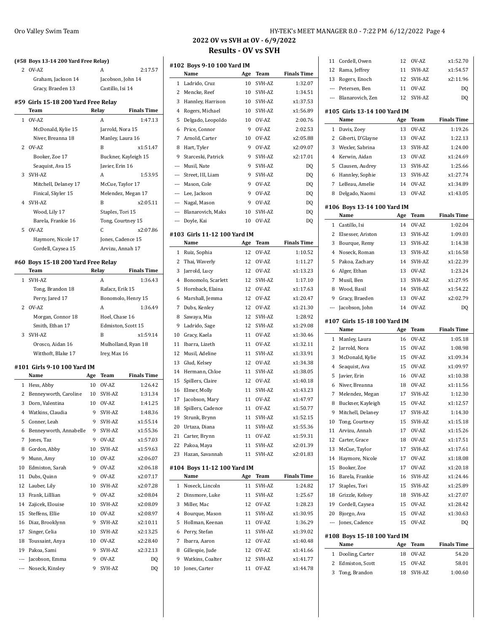|     | (#58 Boys 13-14 200 Yard Free Relay)        |       |                    |                                |
|-----|---------------------------------------------|-------|--------------------|--------------------------------|
| 2   | OV-AZ                                       |       | A                  | 2:17.57                        |
|     | Graham, Jackson 14                          |       | Jacobson, John 14  |                                |
|     | Gracy, Braeden 13                           |       | Castillo, Isi 14   |                                |
|     | #59 Girls 15-18 200 Yard Free Relay<br>Team | Relay |                    | <b>Finals Time</b>             |
| 1   | OV-AZ                                       |       | A                  | 1:47.13                        |
|     | McDonald, Kylie 15                          |       | Jarrold, Nora 15   |                                |
|     | Niver, Breanna 18                           |       | Manley, Laura 16   |                                |
| 2   | OV-AZ                                       |       | B                  | x1:51.47                       |
|     | Booker, Zoe 17                              |       |                    | Buckner, Kayleigh 15           |
|     | Seaquist, Ava 15                            |       | Javier, Erin 16    |                                |
| 3   | SVH-AZ                                      |       | A                  | 1:53.95                        |
|     | Mitchell, Delaney 17                        |       | McCue, Taylor 17   |                                |
|     | Finical, Skyler 15                          |       |                    |                                |
| 4   | SVH-AZ                                      |       | B                  | Melendez, Megan 17<br>x2:05.11 |
|     |                                             |       |                    |                                |
|     | Wood, Lily 17                               |       | Staples, Tori 15   |                                |
|     | Barela, Frankie 16                          |       | Tong, Courtney 15  |                                |
| 5   | OV-AZ                                       |       | C                  | x2:07.86                       |
|     | Haymore, Nicole 17                          |       | Jones, Cadence 15  |                                |
|     | Cordell, Caysea 15                          |       | Arvizu, Annah 17   |                                |
|     | #60 Boys 15-18 200 Yard Free Relay          |       |                    |                                |
|     | Team                                        | Relay |                    | <b>Finals Time</b>             |
| 1   | SVH-AZ                                      |       | A                  | 1:36.43                        |
|     | Tong, Brandon 18                            |       | Rafacz, Erik 15    |                                |
|     | Perry, Jared 17                             |       |                    | Bonomolo, Henry 15             |
| 2   | OV-AZ                                       |       | A                  | 1:36.49                        |
|     | Morgan, Connor 18                           |       | Hoel, Chase 16     |                                |
|     | Smith, Ethan 17                             |       | Edmiston, Scott 15 |                                |
| 3   | SVH-AZ                                      |       | B                  | x1:59.14                       |
|     | Orosco, Aidan 16                            |       |                    | Mulholland, Ryan 18            |
|     | Witthoft, Blake 17                          |       | Irey, Max 16       |                                |
|     |                                             |       |                    |                                |
|     | #101 Girls 9-10 100 Yard IM                 |       |                    |                                |
|     | Name                                        | Age   | Team               | <b>Finals Time</b>             |
| 1   | Hess, Abby                                  | 10    | OV-AZ              | 1:26.42                        |
| 2   | Benneyworth, Caroline                       | 10    | SVH-AZ             | 1:31.34                        |
| 3   | Dorn, Valentina                             | 10    | OV-AZ              | 1:41.25                        |
| 4   | Watkins, Claudia                            | 9     | SVH-AZ             | 1:48.36                        |
| 5   | Conner, Leah                                | 9     | SVH-AZ             | x1:55.14                       |
| 6   | Benneyworth, Annabelle                      | 9     | SVH-AZ             | x1:55.36                       |
| 7   | Jones, Taz                                  | 9     | OV-AZ              | x1:57.03                       |
| 8   | Gordon, Abby                                | 10    | SVH-AZ             | x1:59.63                       |
| 9   | Munn, Amy                                   | 10    | OV-AZ              | x2:06.07                       |
| 10  | Edmiston, Sarah                             | 9     | OV-AZ              | x2:06.18                       |
| 11  |                                             |       | OV-AZ              |                                |
|     | Dubs, Quinn                                 | 9     |                    | x2:07.17                       |
| 12  | Lauber, Lily                                | 10    | SVH-AZ             | x2:07.28                       |
| 13  | Frank, Lilllian                             | 9     | OV-AZ              | x2:08.04                       |
| 14  | Zajicek, Elouise                            | 10    | SVH-AZ             | x2:08.09                       |
| 15  | Steffens, Ellie                             | 10    | OV-AZ              | x2:08.97                       |
| 16  | Diaz, Brooklynn                             | 9     | SVH-AZ             | x2:10.11                       |
| 17  | Singer, Celia                               | 10    | SVH-AZ             | x2:13.25                       |
| 18  | Toussaint, Anya                             | 10    | OV-AZ              | x2:28.40                       |
| 19  | Pakoa, Sami                                 | 9     | SVH-AZ             | x2:32.13                       |
| --- | Jacobson, Emma                              | 9     | OV-AZ              | DQ                             |

## Oro Valley Swim Team Team Team  $HY-TEK'$ s MEET MANAGER 8.0 - 7:22 PM 6/12/2022 Page 4

## **2022 OV vs SVH at OV - 6/9/2022 Results - OV vs SVH**

| #102 Boys 9-10 100 Yard IM |                              |     |             |                    |
|----------------------------|------------------------------|-----|-------------|--------------------|
|                            | Name                         | Age | Team        | <b>Finals Time</b> |
| 1                          | Ladrido, Cruz                | 10  | SVH-AZ      | 1:32.07            |
| 2                          | Mencke, Reef                 | 10  | SVH-AZ      | 1:34.51            |
| 3                          | Hannley, Harrison            | 10  | SVH-AZ      | x1:37.53           |
| 4                          | Rogers, Michael              | 10  | SVH-AZ      | x1:56.89           |
| 5                          | Delgado, Leopoldo            | 10  | OV-AZ       | 2:00.76            |
| 6                          | Price, Connor                | 9   | OV-AZ       | 2:02.53            |
| 7                          | Arnold, Carter               | 10  | OV-AZ       | x2:05.88           |
| 8                          | Hart, Tyler                  | 9   | OV-AZ       | x2:09.07           |
| 9                          | Starceski, Patrick           | 9   | SVH-AZ      | x2:17.01           |
| ---                        | Musil, Nate                  | 9   | SVH-AZ      | DQ                 |
| ---                        | Street, III, Liam            | 9   | SVH-AZ      | DQ                 |
| ---                        | Mason, Cole                  | 9   | OV-AZ       | DQ                 |
| ---                        | Lee, Jackson                 | 9   | OV-AZ       | DQ                 |
| ---                        | Nagal, Mason                 | 9   | OV-AZ       | DQ                 |
| ---                        | Blanarovich, Maks            | 10  | SVH-AZ      | DQ                 |
| ---                        | Doyle, Kai                   | 10  | OV-AZ       | DQ                 |
|                            |                              |     |             |                    |
|                            | #103 Girls 11-12 100 Yard IM |     |             |                    |
|                            | Name                         | Age | <b>Team</b> | <b>Finals Time</b> |
| 1                          | Ruiz, Sophia                 | 12  | OV-AZ       | 1:10.52            |
| 2                          | Thai, Waverly                | 12  | OV-AZ       | 1:11.27            |
| 3                          | Jarrold, Lucy                | 12  | OV-AZ       | x1:13.23           |
| 4                          | Bonomolo, Scarlett           | 12  | SVH-AZ      | 1:17.10            |
| 5                          | Hornback, Elaina             | 12  | OV-AZ       | x1:17.63           |
| 6                          | Marshall, Jemma              | 12  | OV-AZ       | x1:20.47           |
| 7                          | Dubs, Kenley                 | 12  | OV-AZ       | x1:21.30           |
| 8                          | Sawaya, Mia                  | 12  | SVH-AZ      | 1:28.92            |
| 9                          | Ladrido, Sage                | 12  | SVH-AZ      | x1:29.08           |
| 10                         | Gracy, Kaela                 | 11  | OV-AZ       | x1:30.46           |
| 11                         | Ibarra, Lizeth               | 11  | OV-AZ       | x1:32.11           |
| 12                         | Musil, Adeline               | 11  | SVH-AZ      | x1:33.91           |
| 13                         | Glud, Kelsey                 | 12  | OV-AZ       | x1:34.38           |
| 14                         | Hermann, Chloe               | 11  | SVH-AZ      | x1:38.05           |
| 15                         | Spillers, Claire             | 12  | OV-AZ       | x1:40.18           |
| 16                         | Elmer, Molly                 | 11  | SVH-AZ      | x1:43.23           |
| 17                         | Jacobson, Mary               | 11  | OV-AZ       | x1:47.97           |
| 18                         | Spillers, Cadence            | 11  | OV-AZ       | x1:50.77           |
|                            | 19 Strunk, Brynn             | 11  | SVH-AZ      | x1:52.15           |
| 20                         | Urtaza, Diana                | 11  | SVH-AZ      | x1:55.36           |
| 21                         | Carter, Brynn                | 11  | OV-AZ       | x1:59.31           |
| 22                         | Pakoa, Maya                  | 11  | SVH-AZ      | x2:01.39           |
| 23                         | Hazan, Savannah              | 11  | SVH-AZ      | x2:01.83           |
|                            | #104 Boys 11-12 100 Yard IM  |     |             |                    |
|                            | Name                         | Age | Team        | <b>Finals Time</b> |
| 1                          | Noseck, Lincoln              | 11  | SVH-AZ      | 1:24.82            |
| 2                          | Dinsmore, Luke               | 11  | SVH-AZ      | 1:25.67            |
| 3                          | Miller, Mac                  | 12  | OV-AZ       | 1:28.23            |
| 4                          | Bourque, Mason               | 11  | SVH-AZ      | x1:30.95           |
| 5                          | Hollman, Keenan              | 11  | OV-AZ       | 1:36.29            |
| 6                          | Perry, Stefan                | 11  | SVH-AZ      | x1:39.02           |
| 7                          | Ibarra, Aaron                | 12  | OV-AZ       | x1:40.48           |
| 8                          | Gillespie, Jude              | 12  | OV-AZ       | x1:41.66           |
| 9                          | Watkins, Coalter             | 12  | SVH-AZ      | x1:41.77           |
| 10                         | Jones, Carter                | 11  | OV-AZ       | x1:44.78           |
|                            |                              |     |             |                    |

| 1<br>2<br>3<br>4<br>5<br>6<br>7<br>8             | Manley, Laura<br>Jarrold, Nora<br>McDonald, Kylie<br>Seaquist, Ava<br>Javier, Erin<br>Niver, Breanna<br>Melendez, Megan<br>Buckner, Kayleigh | 16<br>15<br>15<br>15<br>16<br>18<br>17<br>15 | OV-AZ<br>OV-AZ<br>OV-AZ<br>OV-AZ<br>OV-AZ<br>OV-AZ<br>SVH-AZ<br>OV-AZ | 1:05.18<br>1:08.98<br>x1:09.34<br>x1:09.97<br>x1:10.38<br>x1:11.56<br>1:12.30<br>x1:12.57 |  |
|--------------------------------------------------|----------------------------------------------------------------------------------------------------------------------------------------------|----------------------------------------------|-----------------------------------------------------------------------|-------------------------------------------------------------------------------------------|--|
| 9                                                | Mitchell, Delaney                                                                                                                            | 17                                           | SVH-AZ                                                                | 1:14.30                                                                                   |  |
|                                                  |                                                                                                                                              |                                              |                                                                       |                                                                                           |  |
|                                                  |                                                                                                                                              |                                              |                                                                       |                                                                                           |  |
|                                                  |                                                                                                                                              |                                              |                                                                       |                                                                                           |  |
|                                                  |                                                                                                                                              |                                              |                                                                       |                                                                                           |  |
|                                                  |                                                                                                                                              |                                              |                                                                       |                                                                                           |  |
|                                                  |                                                                                                                                              |                                              |                                                                       |                                                                                           |  |
|                                                  |                                                                                                                                              |                                              |                                                                       |                                                                                           |  |
|                                                  |                                                                                                                                              |                                              |                                                                       |                                                                                           |  |
|                                                  |                                                                                                                                              |                                              |                                                                       |                                                                                           |  |
|                                                  |                                                                                                                                              |                                              |                                                                       |                                                                                           |  |
|                                                  |                                                                                                                                              |                                              |                                                                       |                                                                                           |  |
| <b>Finals Time</b><br>Name<br><b>Team</b><br>Age |                                                                                                                                              |                                              |                                                                       |                                                                                           |  |
|                                                  | #107 Girls 15-18 100 Yard IM                                                                                                                 |                                              |                                                                       |                                                                                           |  |
|                                                  |                                                                                                                                              |                                              |                                                                       |                                                                                           |  |
| ---                                              | Jacobson, John                                                                                                                               | 14                                           | OV-AZ                                                                 | DQ                                                                                        |  |
| 9                                                | Gracy, Braeden                                                                                                                               | 13                                           | OV-AZ                                                                 | x2:02.79                                                                                  |  |
| 8                                                | Wood, Basil                                                                                                                                  | 14                                           | SVH-AZ                                                                | x1:54.22                                                                                  |  |
|                                                  |                                                                                                                                              |                                              |                                                                       |                                                                                           |  |
| 7                                                | Musil, Ben                                                                                                                                   | 13                                           | SVH-AZ                                                                | x1:27.95                                                                                  |  |
| 6                                                | Alger, Ethan                                                                                                                                 | 13                                           | OV-AZ                                                                 | 1:23.24                                                                                   |  |
| 5                                                | Pakoa, Zachary                                                                                                                               | 14                                           | SVH-AZ                                                                | x1:22.39                                                                                  |  |
| 4                                                | Noseck, Roman                                                                                                                                | 13                                           | SVH-AZ                                                                | x1:16.58                                                                                  |  |
|                                                  |                                                                                                                                              |                                              |                                                                       |                                                                                           |  |
| 3                                                | Bourque, Remy                                                                                                                                | 13                                           | SVH-AZ                                                                | 1:14.38                                                                                   |  |
| 2                                                | Elsesser, Ariston                                                                                                                            | 13                                           | SVH-AZ                                                                | 1:09.03                                                                                   |  |
| 1                                                | Castillo, Isi                                                                                                                                | 14                                           | OV-AZ                                                                 | 1:02.04                                                                                   |  |
|                                                  | Name                                                                                                                                         | Age                                          | Team                                                                  | <b>Finals Time</b>                                                                        |  |
|                                                  | #106 Boys 13-14 100 Yard IM                                                                                                                  |                                              |                                                                       |                                                                                           |  |
| 8                                                | Delgado, Naomi                                                                                                                               | 13                                           | OV-AZ                                                                 | x1:43.05                                                                                  |  |
|                                                  | LeBeau, Amelie                                                                                                                               | 14                                           |                                                                       | x1:34.89                                                                                  |  |
| 7                                                |                                                                                                                                              |                                              | OV-AZ                                                                 |                                                                                           |  |
| 6                                                | Hannley, Sophie                                                                                                                              | 13                                           | SVH-AZ                                                                | x1:27.74                                                                                  |  |
| 5                                                | Clausen, Audrey                                                                                                                              | 13                                           | SVH-AZ                                                                | 1:25.66                                                                                   |  |
| 4                                                | Kerwin, Aidan                                                                                                                                | 13                                           | OV-AZ                                                                 | x1:24.69                                                                                  |  |
| 3                                                | Wexler, Sabrina                                                                                                                              | 13                                           | SVH-AZ                                                                | 1:24.00                                                                                   |  |
| 2                                                | Giberti, D'Glayne                                                                                                                            | 13                                           | OV-AZ                                                                 | 1:22.13                                                                                   |  |
| 1                                                | Davis, Zoey                                                                                                                                  | 13                                           | OV-AZ                                                                 | 1:19.26                                                                                   |  |
|                                                  |                                                                                                                                              |                                              |                                                                       |                                                                                           |  |
|                                                  | Name                                                                                                                                         | Age                                          | Team                                                                  | <b>Finals Time</b>                                                                        |  |
| #105 Girls 13-14 100 Yard IM                     |                                                                                                                                              |                                              |                                                                       |                                                                                           |  |
| ---                                              | Blanarovich, Zen                                                                                                                             | 12                                           | SVH-AZ                                                                | DQ                                                                                        |  |
| $\cdots$                                         | Petersen, Ben                                                                                                                                | 11                                           | OV-AZ                                                                 | DQ                                                                                        |  |
|                                                  |                                                                                                                                              |                                              |                                                                       |                                                                                           |  |
| 13                                               | Rogers, Enoch                                                                                                                                | 12                                           | SVH-AZ                                                                | x2:11.96                                                                                  |  |
|                                                  | Rama, Jeffrey                                                                                                                                | 11                                           | SVH-AZ                                                                | x1:54.57                                                                                  |  |
| 11<br>12                                         | Cordell, Owen                                                                                                                                | 12                                           | OV-AZ                                                                 | x1:52.70                                                                                  |  |